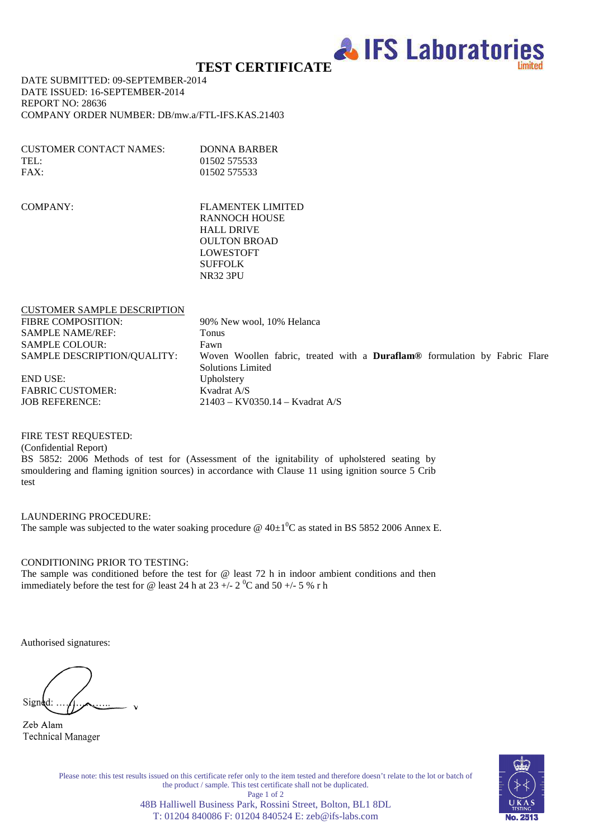

# **TEST CERTIFICATE**

DATE SUBMITTED: 09-SEPTEMBER-2014 DATE ISSUED: 16-SEPTEMBER-2014 REPORT NO: 28636 COMPANY ORDER NUMBER: DB/mw.a/FTL-IFS.KAS.21403

| CUSTOMER CONTACT NAMES: | DONNA BARBER |
|-------------------------|--------------|
| TEL:                    | 01502 575533 |
| FAX:                    | 01502 575533 |

COMPANY: FLAMENTEK LIMITED RANNOCH HOUSE HALL DRIVE OULTON BROAD LOWESTOFT SUFFOLK NR32 3PU

| <b>CUSTOMER SAMPLE DESCRIPTION</b> |                                                                            |
|------------------------------------|----------------------------------------------------------------------------|
| <b>FIBRE COMPOSITION:</b>          | 90% New wool, 10% Helanca                                                  |
| <b>SAMPLE NAME/REF:</b>            | Tonus                                                                      |
| <b>SAMPLE COLOUR:</b>              | Fawn                                                                       |
| SAMPLE DESCRIPTION/QUALITY:        | Woven Woollen fabric, treated with a Duraflam® formulation by Fabric Flare |
|                                    | <b>Solutions Limited</b>                                                   |
| <b>END USE:</b>                    | Upholstery                                                                 |
| <b>FABRIC CUSTOMER:</b>            | Kvadrat A/S                                                                |
| <b>JOB REFERENCE:</b>              | $21403 - KV0350.14 - Kvadrat A/S$                                          |
|                                    |                                                                            |

FIRE TEST REQUESTED:

(Confidential Report)

BS 5852: 2006 Methods of test for (Assessment of the ignitability of upholstered seating by smouldering and flaming ignition sources) in accordance with Clause 11 using ignition source 5 Crib test

LAUNDERING PROCEDURE: The sample was subjected to the water soaking procedure  $\omega$  40 $\pm$ 1<sup>°</sup>C as stated in BS 5852 2006 Annex E.

CONDITIONING PRIOR TO TESTING:

The sample was conditioned before the test for @ least 72 h in indoor ambient conditions and then immediately before the test for @ least 24 h at 23 +/- 2  $^0C$  and 50 +/- 5 % r h

Authorised signatures:

Signed:

Zeb Alam **Technical Manager** 

Please note: this test results issued on this certificate refer only to the item tested and therefore doesn't relate to the lot or batch of the product / sample. This test certificate shall not be duplicated. Page 1 of 2 48B Halliwell Business Park, Rossini Street, Bolton, BL1 8DL T: 01204 840086 F: 01204 840524 E: zeb@ifs-labs.com